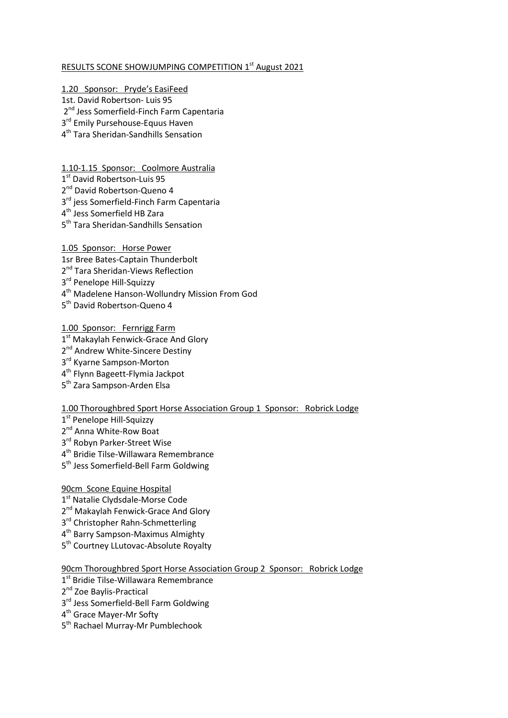## RESULTS SCONE SHOWJUMPING COMPETITION 1<sup>st</sup> August 2021

1.20 Sponsor: Pryde's EasiFeed

- 1st. David Robertson- Luis 95
- 2<sup>nd</sup> Jess Somerfield-Finch Farm Capentaria
- 3<sup>rd</sup> Emily Pursehouse-Equus Haven
- 4 th Tara Sheridan-Sandhills Sensation

1.10-1.15 Sponsor: Coolmore Australia

- 1st David Robertson-Luis 95
- 2<sup>nd</sup> David Robertson-Queno 4
- 3<sup>rd</sup> jess Somerfield-Finch Farm Capentaria
- 4 th Jess Somerfield HB Zara
- 5<sup>th</sup> Tara Sheridan-Sandhills Sensation

1.05 Sponsor: Horse Power

- 1sr Bree Bates-Captain Thunderbolt
- 2<sup>nd</sup> Tara Sheridan-Views Reflection
- 3<sup>rd</sup> Penelope Hill-Squizzy
- 4 th Madelene Hanson-Wollundry Mission From God
- 5<sup>th</sup> David Robertson-Queno 4

1.00 Sponsor: Fernrigg Farm

- 1<sup>st</sup> Makaylah Fenwick-Grace And Glory
- 2<sup>nd</sup> Andrew White-Sincere Destiny
- 3<sup>rd</sup> Kyarne Sampson-Morton
- 4<sup>th</sup> Flynn Bageett-Flymia Jackpot
- 5<sup>th</sup> Zara Sampson-Arden Elsa

## 1.00 Thoroughbred Sport Horse Association Group 1 Sponsor: Robrick Lodge

- 1st Penelope Hill-Squizzy
- 2<sup>nd</sup> Anna White-Row Boat
- 3<sup>rd</sup> Robyn Parker-Street Wise
- 4 th Bridie Tilse-Willawara Remembrance
- 5<sup>th</sup> Jess Somerfield-Bell Farm Goldwing

## 90cm Scone Equine Hospital

- 1st Natalie Clydsdale-Morse Code
- 2<sup>nd</sup> Makaylah Fenwick-Grace And Glory
- 3<sup>rd</sup> Christopher Rahn-Schmetterling
- 4<sup>th</sup> Barry Sampson-Maximus Almighty
- 5<sup>th</sup> Courtney LLutovac-Absolute Royalty

90cm Thoroughbred Sport Horse Association Group 2 Sponsor: Robrick Lodge

- 1<sup>st</sup> Bridie Tilse-Willawara Remembrance
- 2<sup>nd</sup> Zoe Baylis-Practical
- 3<sup>rd</sup> Jess Somerfield-Bell Farm Goldwing
- 4<sup>th</sup> Grace Mayer-Mr Softy
- 5<sup>th</sup> Rachael Murray-Mr Pumblechook